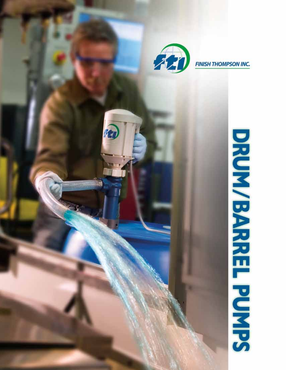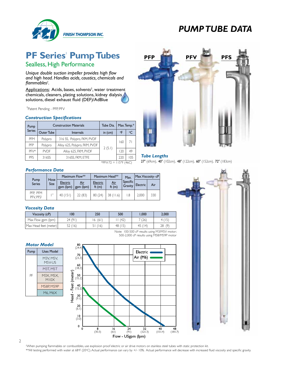

## **PF Series' Pump Tubes**

Sealless, High Performance

*Unique double suction impeller provides high flow and high head. Handles acids, caustics, chemicals and flammables† .*

Applications: Acids, bases, solvents† , water treatment chemicals, cleaners, plating solutions, kidney dialysis solutions, diesel exhaust fluid (DEF)/AdBlue

<sup>1</sup>Patent Pending - PFP, PFV

#### *Construction Specifications*

| Pump          |             | <b>Construction Materials</b> | Tube Dia. |      | Max. Temp.* |
|---------------|-------------|-------------------------------|-----------|------|-------------|
| <b>Series</b> | Outer Tube  | <b>Internals</b>              | in $(cm)$ | °F   | °C.         |
| <b>PFM</b>    | Polypro     | 316 SS, Polypro, FKM, PVDF    |           | 16C  | 71          |
| <b>PFP</b>    | Polypro     | Alloy 625, Polypro, FKM, PVDF |           |      |             |
| PFV*          | <b>PVDF</b> | Alloy 625, FKM, PVDF          | 2(5.1)    | . 20 | 49          |
| <b>PFS</b>    | 316SS       | 316SS. FKM. ETFE              |           | 220  | 105         |

#### $*$ PFV-72 = 115°F (46C)

#### *Performance Data*

|                                   |              | Maximum Flow**        |                  | Maximum Head**    |                        | Max.                | Max. Viscosity - cP |     |
|-----------------------------------|--------------|-----------------------|------------------|-------------------|------------------------|---------------------|---------------------|-----|
| Pump<br><b>Series</b>             | Hose<br>Size | Electric<br>gpm (lpm) | Air<br>gpm (lpm) | Electric<br>ft(m) | <u>Air</u><br>ft $(m)$ | Specific<br>Gravity | <b>Electric</b>     | Air |
| PFP. PFM<br>PFV. PFS <sup>+</sup> | $^{\prime}$  | 40(151)               | 22(83)           | 80 (24)           | 38(11.6)               | 1.8                 | 2.000               | 330 |

#### *Viscosity Data*

| Viscosity (cP)        | 00      | 250      | 500     | 1.000  | 2.000  |
|-----------------------|---------|----------|---------|--------|--------|
| Max Flow gpm (Ipm)    | 24 (91) | (6)<br>6 | (42)    | 7 (26) | 4 (15) |
| Max Head feet (meter) | 52(16)  | 51(16)   | 48 (15) | 45(14) | 28(9)  |
|                       |         |          |         |        |        |

Note: 100-500 cP results using M3/M5V motor; 500-2,000 cP results using M58/M59P motor

#### *Motor Model*

| Pump | Uses Model          |
|------|---------------------|
| ΡF   | M3V, M5V,<br>M5V-US |
|      | M3T. M5T            |
|      | M3X. M5X.<br>M10X   |
|      | M58P. M59P          |
|      | M6. M6X             |





*Tube Lengths* 

27" (69cm), 40" (102cm), 48" (122cm), 60" (152cm), 72" (183cm)



2

† When pumping flammables or combustibles, use explosion proof electric or air drive motors on stainless steel tubes with static protection kit. \*\*All testing performed with water at 68°F (20°C). Actual performance can vary by +/- 10%. Actual performance will decrease with increased fluid viscosity and specific gravity.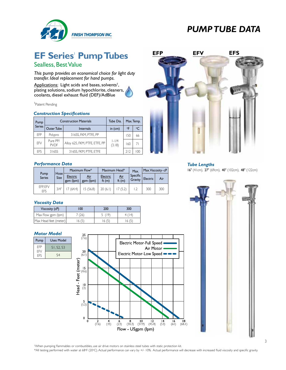

# **EF Series' Pump Tubes**

### Sealless, Best Value

*This pump provides an economical choice for light duty transfer. Ideal replacement for hand pumps.*

Applications: Light acids and bases, solvents<sup>†</sup>, plating solutions, sodium hypochlorite, cleaners, coolants, diesel exhaust fluid (DEF)/AdBlue

#### <sup>1</sup>Patent Pending

#### *Construction Specifications*

| Pump          |                         | <b>Construction Materials</b>  | Tube Dia.           |     | Max. Temp.      |
|---------------|-------------------------|--------------------------------|---------------------|-----|-----------------|
| <b>Series</b> | Outer Tube              | <b>Internals</b>               | in $(cm)$           | ٥F  | $\rm ^{\circ}C$ |
| <b>FFP</b>    | Polypro                 | 316SS, FKM, PTFE, PP           |                     | 150 | 66              |
| EFV           | Pure PP/<br><b>PVDF</b> | Alloy 625, FKM, PTFE, ETFE, PP | $1 - 1/4$<br>(3.18) | 160 | 71              |
| FFS           | 316SS                   | 316SS, FKM, PTFE, ETFE         |                     | 212 | 100             |

#### *Performance Data*

|                        |              |                       | Maximum Flow*    | Maximum Head*        |              | Max.                | Max. Viscosity - cP |     |
|------------------------|--------------|-----------------------|------------------|----------------------|--------------|---------------------|---------------------|-----|
| Pump<br><b>Series</b>  | Hose<br>Size | Electric<br>gpm (lpm) | Air<br>gpm (lpm) | Electric<br>ft $(m)$ | Air<br>ft(m) | Specific<br>Gravity | Electric            | Air |
| EFP, EFV<br><b>EFS</b> | 3/4"         | (64.4)                | 15(56.8)         | 20(6.1)              | 17(5.2)      |                     | 300                 | 300 |

#### *Viscosity Data*

| Viscosity (cP)        | 100    | 200    | 300    |
|-----------------------|--------|--------|--------|
| Max Flow gpm (lpm)    | (26)   | 5(19)  | 4 (14) |
| Max Head feet (meter) | 16 (5) | 16 (5) | 16 (5) |

#### *Motor Model*

| Pump       | Uses Model |
|------------|------------|
| FFP        | SI. S2. S3 |
| FFV<br>FFS |            |





#### *Tube Lengths*

16" (41cm), 27" (69cm), 40" (102cm), 48" (122cm)



† When pumping flammables or combustibles, use air drive motors on stainless steel tubes with static protection kit.

\*All testing performed with water at 68o F (20o C). Actual performance can vary by +/- 10%. Actual performance will decrease with increased fluid viscosity and specific gravity.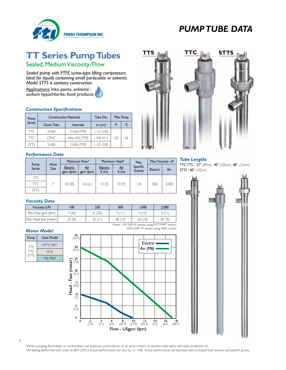

## **TT Series Pump Tubes**

Sealed, Medium Viscosity/Flow

*Sealed pump with PTFE screw-type lifting compressors. Ideal for liquids containing small particulate or solvents. Model STTS is sanitary construction.*

Applications: Inks, paints, solvents<sup>†</sup>, sodium hypochlorite, food products

#### *Construction Specifications*

| Pump          | <b>Construction Materials</b> |                 | Tube Dia.       |     | Max. Temp. |
|---------------|-------------------------------|-----------------|-----------------|-----|------------|
| <b>Series</b> | Outer Tube                    | Internals       | in $(cm)$       | ۰F  | $\circ$ C  |
| TTS           | 316SS                         | 316SS, PTFE     | $1 - 1/2$ (3.8) |     |            |
| ТTC           | <b>CPVC</b>                   | Alloy 625, PTFE | $1-5/8$ (4.1)   | 150 | 66         |
| STTS          | 316SS                         | 316SS, PTFE     | $1 - 1/2$ (3.8) |     |            |

#### *Performance Data*

|                       |              | Maximum Flow*         |                  | Maximum Head*     |                        | Max.                | Max. Viscosity - cP |       |
|-----------------------|--------------|-----------------------|------------------|-------------------|------------------------|---------------------|---------------------|-------|
| Pump<br><b>Series</b> | Hose<br>Size | Electric<br>gpm (lpm) | Air<br>gpm (lpm) | Electric<br>ft(m) | <u>Air</u><br>ft $(m)$ | Specific<br>Gravity | Electric            | Air   |
| TTS                   |              |                       |                  |                   |                        |                     |                     |       |
| TTC.                  | ıш           | 10(38)                | 16 (61)          | 10(3)             | 30(9)                  | 1.8                 | 500                 | 2,000 |
| <b>STTS</b>           |              |                       |                  |                   |                        |                     |                     |       |

#### *Viscosity Data*

| Viscosity (cP)                                | 100    | 250     | 500     | 1.000  | 2,000 |  |  |
|-----------------------------------------------|--------|---------|---------|--------|-------|--|--|
| Max Flow gpm (lpm)                            | 7 (26) | 6(23)   | 3(11)   | 4(15)  | 3(11) |  |  |
| Max Head feet (meter)                         | 25(8)  | 35 (II) | 48 (15) | 60(18) | 28(9) |  |  |
| Note: 100-500 cP results using M7T/M8T motor: |        |         |         |        |       |  |  |

*Motor Model*





500-2,000 cP results using M6X motor



#### *Tube Lengths*

TTC, TTS - 27" (69cm), 40" (102cm), 48" (122cm) STTS - 40" (102cm)



† When pumping flammables or combustibles, use explosion proof electric or air drive motors on stainless steel tubes with static protection kit. \*All testing performed with water at 68o F (20o C). Actual performance can vary by +/- 10%. Actual performance will decrease with increased fluid viscosity and specific gravity.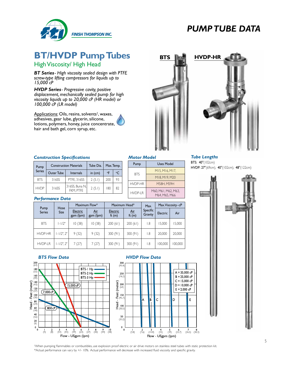

## **BT/HVDP Pump Tubes** BTS **HEAD HVDP-HR**

High Viscosity/ High Head

*BT Series- High viscosity sealed design with PTFE screw-type lifting compressors for liquids up to 15,000 cP*

*HVDP Series- Progressive cavity, positive displacement, mechanically sealed pump for high viscosity liquids up to 20,000 cP (HR model) or 100,000 cP (LR model)*

Applications: Oils, resins, solvents† , waxes, adhesives, gear lube, glycerin, silicone, lotions, polymers, honey, juice concentrate, hair and bath gel, corn syrup, etc.





#### *Construction Specifications*

| Pump                 |       | <b>Construction Materials</b> | Tube Dia. | Max. Temp. |         |
|----------------------|-------|-------------------------------|-----------|------------|---------|
| Series<br>Outer Tube |       | <b>Internals</b>              | in $(cm)$ | $\circ$ F  | $\circ$ |
| <b>BTS</b>           | 316SS | <b>PTFE, 316SS</b>            | 2(5.1)    | 200        | 93      |
| <b>HVDP</b>          | 316SS | 316SS, Buna N,<br>FKM. PTFF   | 2(5.1)    | 180        | 82      |

#### *Performance Data*

|                       |                     |                              | Maximum Flow*    | Maximum Head*        |                        | Max.                |          | Max. Viscosity - cP |  |  |  |  |
|-----------------------|---------------------|------------------------------|------------------|----------------------|------------------------|---------------------|----------|---------------------|--|--|--|--|
| Pump<br><b>Series</b> | Hose<br><b>Size</b> | <b>Electric</b><br>gpm (lpm) | Air<br>gpm (lpm) | Electric<br>ft $(m)$ | <u>Air</u><br>ft $(m)$ | Specific<br>Gravity | Electric | Air                 |  |  |  |  |
| <b>BTS</b>            | $-1/2"$             | 10(38)                       | 10(38)           | 200(61)              | 200(61)                | $\overline{8}$      | 15.000   | 15,000              |  |  |  |  |
| <b>HVDP-HR</b>        | $-1/2$ ", $2$ "     | 9(32)                        | 9(32)            | 300(91)              | 300(91)                | 1.8                 | 20.000   | 20,000              |  |  |  |  |
| <b>HVDP-LR</b>        | $-1/2$ ", $2$ "     | 7(27)                        | 7(27)            | 300(91)              | 300(91)                | 1.8                 | 00.000   | 100.000             |  |  |  |  |

#### *Motor Model*

BTS

Pump | Uses Model

 $HVDP-HR$  M58H, M59H  $HVDP-IR$  M60, M61, M62, M63,

M15, M16, M17, M18, M19, M20

M64, M65, M66

*Tube Lengths*  BTS: 40"(102cm)

HVDP: 27"(69cm), 40"(102cm), 48"(122cm)









† When pumping flammables or combustibles, use explosion proof electric or air drive motors on stainless steel tubes with static protection kit. \*Actual performance can vary by +/- 10%. Actual performance will decrease with increased fluid viscosity and specific gravity.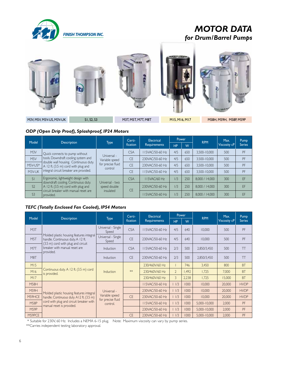

## *MOTOR DATA for Drum/Barrel Pumps*











M3V, M5V, M5V-US, M3V-UK S1, S2, S3 M3T, M3T, M3T, M3T, M3T, M3T M15, M16, M17 M58H, M58H, M58P, M59P

#### *ODP (Open Drip Proof), Splashproof, IP24 Motors*

| Model            |                                                                                                                       |                                                               | Certi-    | Electrical          | Power |     | <b>RPM</b>     | Max.         | Pump           |
|------------------|-----------------------------------------------------------------------------------------------------------------------|---------------------------------------------------------------|-----------|---------------------|-------|-----|----------------|--------------|----------------|
|                  | <b>Description</b>                                                                                                    | Type<br>fication                                              |           | <b>Requirements</b> | HP.   | W   |                | Viscosity cP | <b>Series</b>  |
| M <sub>3</sub> V | Quick connects to pump without                                                                                        |                                                               | CSA       | 15VAC/50-60 Hz      | 4/5   | 650 | 3,500-10,000   | 500          | PF             |
| M <sub>5</sub> V | tools. Downdraft cooling system and<br>double wall housing. Continuous duty.<br>$A$ 12 ft. (3.5 m) cord with plug and | Universal -<br>Variable speed<br>for precise fluid<br>control | <b>CF</b> | 230VAC/50-60 Hz     | 4/5   | 650 | 3.500-10,000   | 500          | PF             |
| M5V-US*          |                                                                                                                       |                                                               | <b>CE</b> | 230VAC/50-60 Hz     | 4/5   | 650 | 3.500-10.000   | 500          | PF             |
| M3V-UK           | integral circuit breaker are provided.                                                                                |                                                               | CF        | 15VAC/50-60 Hz      | 4/5   | 650 | 3.500-10.000   | 500          | PF             |
| SI               | Ergonomic, lightweight design with                                                                                    | Universal - two                                               | CSA       | 115VAC/60 Hz        | 1/3   | 250 | 8,000 / 14,000 | 300          | FF <sup></sup> |
| S <sub>2</sub>   | downdraft cooling. Continuous duty.<br>A 12 ft. (3.5 m) cord with plug and                                            | speed double                                                  | <b>CF</b> | 230VAC/50-60 Hz     | 1/3   | 250 | 8.000 / 14.000 | 300          | FF             |
| S <sub>3</sub>   | circuit breaker with manual reset are<br>provided.                                                                    | insulated                                                     |           | 15VAC/50-60 Hz      | 1/3   | 250 | 8.000 / 14.000 | 300          | FF             |

### *TEFC (Totally Enclosed Fan Cooled), IP54 Motors*

|             |                                                                                                                     |                                                 | Certi-     | <b>Electrical</b> | Power          |       |              | Max.                | Pump          |
|-------------|---------------------------------------------------------------------------------------------------------------------|-------------------------------------------------|------------|-------------------|----------------|-------|--------------|---------------------|---------------|
| Model       | <b>Description</b>                                                                                                  | <b>Type</b>                                     | fication   | Requirements      | <b>HP</b>      | W     | <b>RPM</b>   | <b>Viscosity cP</b> | <b>Series</b> |
| M3T         |                                                                                                                     | Universal - Single<br>Speed                     | <b>CSA</b> | 115VAC/50-60 Hz   | 4/5            | 640   | 10.000       | 500                 | PF            |
| M5T         | Molded plastic housing features integral<br>handle. Continuous duty. A 12 ft.<br>(3.5 m) cord with plug and circuit | Universal - Single<br>Speed                     | <b>CF</b>  | 230VAC/50-60 Hz   | 4/5            | 640   | 10,000       | 500                 | PF            |
| M7T         | breaker with manual reset are<br>provided.                                                                          | Induction                                       | <b>CSA</b> | 115VAC/50-60 Hz   | 7/3            | 500   | 2,850/3,450  | 500                 | TT            |
| M8T         |                                                                                                                     | Induction                                       | <b>CE</b>  | 230VAC/50-60 Hz   | 2/3            | 500   | 2,850/3,450  | 500                 | TT            |
| M15         |                                                                                                                     | <b>Induction</b>                                | **         | 230/460V/60 Hz    |                | 746   | 3,450        | 800                 | <b>BT</b>     |
| M16         | Continuous duty. A 12 ft. (3.5 m) cord<br>is provided.                                                              |                                                 |            | 230/460V/60 Hz    | $\overline{2}$ | 1,492 | 1,725        | 7,000               | <b>BT</b>     |
| M17         |                                                                                                                     |                                                 |            | 230/460V/60 Hz    | 3              | 2,238 | 1,725        | 15,000              | <b>BT</b>     |
| <b>M58H</b> |                                                                                                                     |                                                 |            | 115VAC/50-60 Hz   | 1/3            | 1000  | 10,000       | 20,000              | <b>HVDP</b>   |
| M59H        | Molded plastic housing features integral<br>handle. Continuous duty. A12 ft. (3.5 m)                                | Universal -                                     |            | 230VAC/50-60 Hz   | 1/3            | 1000  | 10,000       | 20,000              | <b>HVDP</b>   |
| M59HCE      |                                                                                                                     | Variable speed<br>for precise fluid<br>control. | CF         | 230VAC/50-60 Hz   | 1/3            | 1000  | 10,000       | 20,000              | <b>HVDP</b>   |
| <b>M58P</b> | cord with plug and circuit breaker with<br>manual reset is provided.                                                |                                                 |            | 115VAC/50-60 Hz   | 1/3            | 1000  | 5,000-10,000 | 2,000               | PF            |
| M59P        |                                                                                                                     |                                                 |            | 230VAC/50-60 Hz   | 1/3            | 1000  | 5,000-10,000 | 2,000               | PF            |
| M59PCE      |                                                                                                                     |                                                 | <b>CF</b>  | 230VAC/50-60 Hz   | 1/3            | 1000  | 5.000-10.000 | 2,000               | PF            |

\* Suitable for 230V, 60 Hz. Includes a NEMA 6-15 plug. Note: Maximum viscosity can vary by pump series.

\*\*Carries independent testing laboratory approval.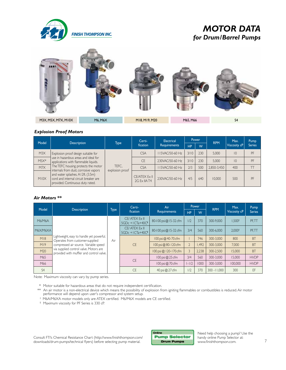

### *MOTOR DATA for Drum/Barrel Pumps*



#### *Explosion Proof Motors*

| Model  | <b>Description</b>                                                                                                                                                                                                                                                                                                    |                          | Certi-                        | Electrical          | Power     |     | <b>RPM</b>  | Max.         | Pump          |
|--------|-----------------------------------------------------------------------------------------------------------------------------------------------------------------------------------------------------------------------------------------------------------------------------------------------------------------------|--------------------------|-------------------------------|---------------------|-----------|-----|-------------|--------------|---------------|
|        |                                                                                                                                                                                                                                                                                                                       | <b>Type</b>              | fication                      | <b>Requirements</b> | <b>HP</b> | W   |             | Viscosity cP | <b>Series</b> |
| M3X    | Explosion proof design suitable for<br>use in hazardous areas and ideal for<br>applications with flammable liquids.<br>The TEFC housing protects the motor<br>internals from dust, corrosive vapors<br>and water splashes. A12ft. (3.5m)<br>cord and internal circuit breaker are<br>provided. Continuous duty rated. | TEFC.<br>explosion proof | <b>CSA</b>                    | 115VAC/50-60 Hz     | 3/10      | 230 | 5.000       | 10           | PF            |
| $M5X*$ |                                                                                                                                                                                                                                                                                                                       |                          | <b>CE</b>                     | 230VAC/50-60 Hz     | 3/10      | 230 | 5.000       | $ 0\rangle$  | PF            |
| M7X    |                                                                                                                                                                                                                                                                                                                       |                          | <b>CSA</b>                    | 115VAC/50-60 Hz     | 7/3       | 500 | 2.850-3.450 | 400          |               |
| M10X   |                                                                                                                                                                                                                                                                                                                       |                          | CE/ATEX Ex II<br>2G Ex IIA T4 | 230VAC/50-60 Hz     | 4/5       | 640 | 10.000      | 500          | PF            |

#### *Air Motors \*\**

| Model          |                                                                                                                                                                                                             | <b>Type</b> | Certi-                                           | Air                      | <b>Power</b> |       | <b>RPM</b>     | Max.                | Pump          |
|----------------|-------------------------------------------------------------------------------------------------------------------------------------------------------------------------------------------------------------|-------------|--------------------------------------------------|--------------------------|--------------|-------|----------------|---------------------|---------------|
|                | <b>Description</b>                                                                                                                                                                                          |             | fication                                         | <b>Requirements</b>      | <b>HP</b>    | W     |                | <b>Viscosity cP</b> | <b>Series</b> |
| M6/M6A         | Lightweight, easy to handle yet powerful.<br>Operates from customer-supplied<br>compressed air source. Variable speed<br>via supplied control valve. Motors are<br>provided with muffler and control valve. |             | CE/ ATEX Ex II<br>$5GDC + ICTa + 40C^{\dagger}$  | 80-100 psi @ 15-32 cfm   | 1/2          | 370   | 300-9.000      | 1.500 <sup>†</sup>  | PF, TT        |
| M6X/M6XA       |                                                                                                                                                                                                             |             | CE/ ATEX Ex II<br>$5GDc +$ ICTa+40C <sup>‡</sup> | 80-100 psi@15-32 cfm     | 3/4          | 560   | 300-6,000      | 2.000 <sup>†</sup>  | PF, TT        |
| M18            |                                                                                                                                                                                                             | Air         |                                                  | $100$ psi $@$ 40-70 cfm  |              | 746   | 300-3,000      | 800                 | <b>BT</b>     |
| M19            |                                                                                                                                                                                                             |             | <b>CF</b>                                        | $100$ psi $@$ 80-120 cfm |              | 1,492 | 300-3,000      | 7.000               | <b>BT</b>     |
| M20            |                                                                                                                                                                                                             |             |                                                  | 100 psi @ 120-170 cfm    |              | 2,238 | 300-2,500      | 15,000              | <b>BT</b>     |
| M65            |                                                                                                                                                                                                             |             | CF.                                              | $100$ psi $@$ 25 cfm     | 3/4          | 560   | 300-3,000      | 15.000              | <b>HVDP</b>   |
| M66            |                                                                                                                                                                                                             |             |                                                  | $100$ psi $@$ 70 cfm     | $1 - 1/2$    | 1000  | 300-3.000      | 100.000             | <b>HVDP</b>   |
| S <sub>4</sub> |                                                                                                                                                                                                             |             | CF                                               | 40 psi @ 27 cfm          | 1/2          | 370   | $300 - 11,000$ | 300                 | EF            |

Note: Maximum viscosity can vary by pump series.

\* Motor suitable for hazardous areas that do not require independent certification.

\*\* An air motor is a non-electrical device which means the possibility of explosion from igniting flammables or combustibles is reduced. Air motor performance will depend upon user's compressor and system setup.<br>‡ M6A/M6XA motor models only are ATEX certified. M6/M6X models are CE certified.

† Maximum viscosity for PF Series is 330 cP.

Consult FTI's Chemical Resistance Chart (http://www.finishthompson.com/ downloads/drum-pumps/technical flyers) before selecting pump material.



Need help choosing a pump? Use the handy online Pump Selector at: www.finishthompson.com.